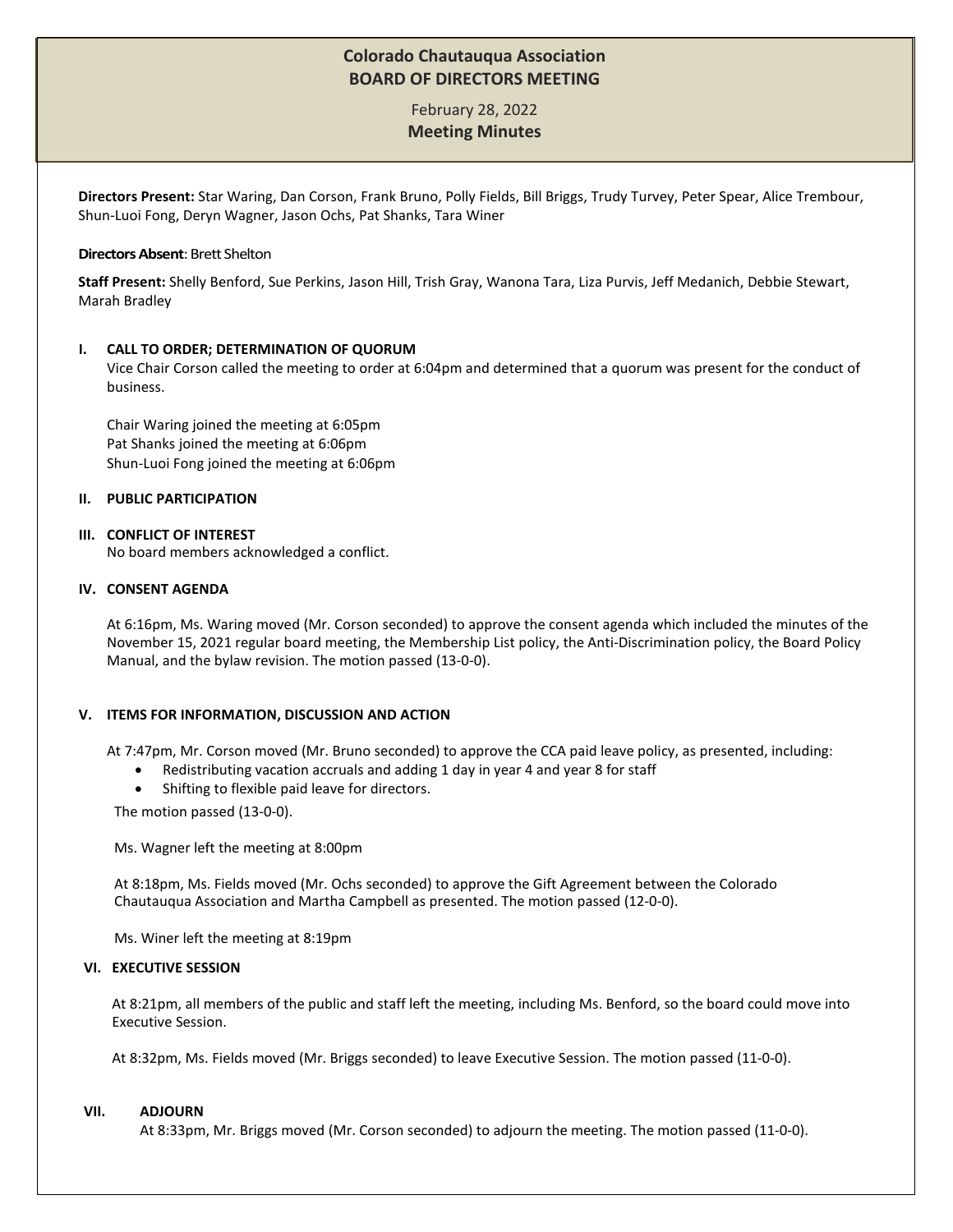# **Colorado Chautauqua Association BOARD OF DIRECTORS MEETING**

February 28, 2022 **Meeting Minutes**

**Directors Present:** Star Waring, Dan Corson, Frank Bruno, Polly Fields, Bill Briggs, Trudy Turvey, Peter Spear, Alice Trembour, Shun-Luoi Fong, Deryn Wagner, Jason Ochs, Pat Shanks, Tara Winer

## **Directors Absent**: Brett Shelton

**Staff Present:** Shelly Benford, Sue Perkins, Jason Hill, Trish Gray, Wanona Tara, Liza Purvis, Jeff Medanich, Debbie Stewart, Marah Bradley

## **I. CALL TO ORDER; DETERMINATION OF QUORUM**

Vice Chair Corson called the meeting to order at 6:04pm and determined that a quorum was present for the conduct of business.

Chair Waring joined the meeting at 6:05pm Pat Shanks joined the meeting at 6:06pm Shun-Luoi Fong joined the meeting at 6:06pm

# **II. PUBLIC PARTICIPATION**

#### **III. CONFLICT OF INTEREST**

No board members acknowledged a conflict.

# **IV. CONSENT AGENDA**

At 6:16pm, Ms. Waring moved (Mr. Corson seconded) to approve the consent agenda which included the minutes of the November 15, 2021 regular board meeting, the Membership List policy, the Anti-Discrimination policy, the Board Policy Manual, and the bylaw revision. The motion passed (13-0-0).

## **V. ITEMS FOR INFORMATION, DISCUSSION AND ACTION**

At 7:47pm, Mr. Corson moved (Mr. Bruno seconded) to approve the CCA paid leave policy, as presented, including:

- Redistributing vacation accruals and adding 1 day in year 4 and year 8 for staff
- Shifting to flexible paid leave for directors.

The motion passed (13-0-0).

Ms. Wagner left the meeting at 8:00pm

At 8:18pm, Ms. Fields moved (Mr. Ochs seconded) to approve the Gift Agreement between the Colorado Chautauqua Association and Martha Campbell as presented. The motion passed (12-0-0).

Ms. Winer left the meeting at 8:19pm

#### **VI. EXECUTIVE SESSION**

At 8:21pm, all members of the public and staff left the meeting, including Ms. Benford, so the board could move into Executive Session.

At 8:32pm, Ms. Fields moved (Mr. Briggs seconded) to leave Executive Session. The motion passed (11-0-0).

#### **VII. ADJOURN**

At 8:33pm, Mr. Briggs moved (Mr. Corson seconded) to adjourn the meeting. The motion passed (11-0-0).